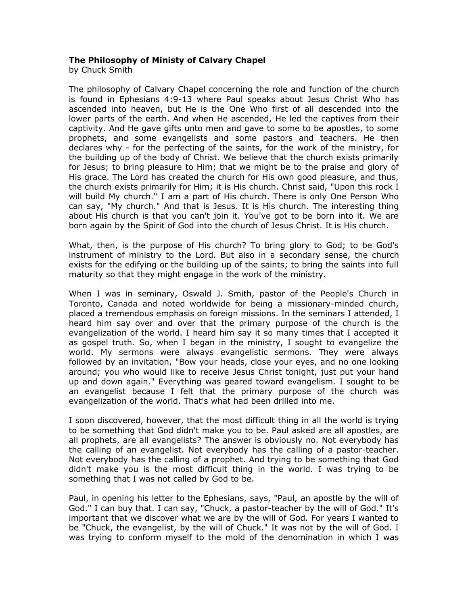## **The Philosophy of Ministy of Calvary Chapel**

by Chuck Smith

The philosophy of Calvary Chapel concerning the role and function of the church is found in Ephesians 4:9-13 where Paul speaks about Jesus Christ Who has ascended into heaven, but He is the One Who first of all descended into the lower parts of the earth. And when He ascended, He led the captives from their captivity. And He gave gifts unto men and gave to some to be apostles, to some prophets, and some evangelists and some pastors and teachers. He then declares why - for the perfecting of the saints, for the work of the ministry, for the building up of the body of Christ. We believe that the church exists primarily for Jesus; to bring pleasure to Him; that we might be to the praise and glory of His grace. The Lord has created the church for His own good pleasure, and thus, the church exists primarily for Him; it is His church. Christ said, "Upon this rock I will build My church." I am a part of His church. There is only One Person Who can say, "My church." And that is Jesus. It is His church. The interesting thing about His church is that you can't join it. You've got to be born into it. We are born again by the Spirit of God into the church of Jesus Christ. It is His church.

What, then, is the purpose of His church? To bring glory to God; to be God's instrument of ministry to the Lord. But also in a secondary sense, the church exists for the edifying or the building up of the saints; to bring the saints into full maturity so that they might engage in the work of the ministry.

When I was in seminary, Oswald J. Smith, pastor of the People's Church in Toronto, Canada and noted worldwide for being a missionary-minded church, placed a tremendous emphasis on foreign missions. In the seminars I attended, I heard him say over and over that the primary purpose of the church is the evangelization of the world. I heard him say it so many times that I accepted it as gospel truth. So, when I began in the ministry, I sought to evangelize the world. My sermons were always evangelistic sermons. They were always followed by an invitation, "Bow your heads, close your eyes, and no one looking around; you who would like to receive Jesus Christ tonight, just put your hand up and down again." Everything was geared toward evangelism. I sought to be an evangelist because I felt that the primary purpose of the church was evangelization of the world. That's what had been drilled into me.

I soon discovered, however, that the most difficult thing in all the world is trying to be something that God didn't make you to be. Paul asked are all apostles, are all prophets, are all evangelists? The answer is obviously no. Not everybody has the calling of an evangelist. Not everybody has the calling of a pastor-teacher. Not everybody has the calling of a prophet. And trying to be something that God didn't make you is the most difficult thing in the world. I was trying to be something that I was not called by God to be.

Paul, in opening his letter to the Ephesians, says, "Paul, an apostle by the will of God." I can buy that. I can say, "Chuck, a pastor-teacher by the will of God." It's important that we discover what we are by the will of God. For years I wanted to be "Chuck, the evangelist, by the will of Chuck." It was not by the will of God. I was trying to conform myself to the mold of the denomination in which I was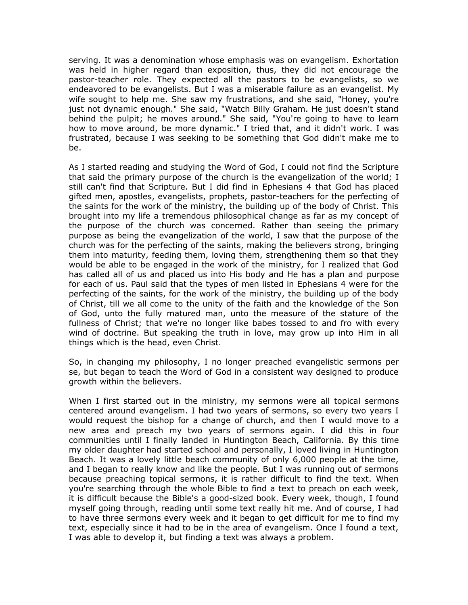serving. It was a denomination whose emphasis was on evangelism. Exhortation was held in higher regard than exposition, thus, they did not encourage the pastor-teacher role. They expected all the pastors to be evangelists, so we endeavored to be evangelists. But I was a miserable failure as an evangelist. My wife sought to help me. She saw my frustrations, and she said, "Honey, you're just not dynamic enough." She said, "Watch Billy Graham. He just doesn't stand behind the pulpit; he moves around." She said, "You're going to have to learn how to move around, be more dynamic." I tried that, and it didn't work. I was frustrated, because I was seeking to be something that God didn't make me to be.

As I started reading and studying the Word of God, I could not find the Scripture that said the primary purpose of the church is the evangelization of the world; I still can't find that Scripture. But I did find in Ephesians 4 that God has placed gifted men, apostles, evangelists, prophets, pastor-teachers for the perfecting of the saints for the work of the ministry, the building up of the body of Christ. This brought into my life a tremendous philosophical change as far as my concept of the purpose of the church was concerned. Rather than seeing the primary purpose as being the evangelization of the world, I saw that the purpose of the church was for the perfecting of the saints, making the believers strong, bringing them into maturity, feeding them, loving them, strengthening them so that they would be able to be engaged in the work of the ministry, for I realized that God has called all of us and placed us into His body and He has a plan and purpose for each of us. Paul said that the types of men listed in Ephesians 4 were for the perfecting of the saints, for the work of the ministry, the building up of the body of Christ, till we all come to the unity of the faith and the knowledge of the Son of God, unto the fully matured man, unto the measure of the stature of the fullness of Christ; that we're no longer like babes tossed to and fro with every wind of doctrine. But speaking the truth in love, may grow up into Him in all things which is the head, even Christ.

So, in changing my philosophy, I no longer preached evangelistic sermons per se, but began to teach the Word of God in a consistent way designed to produce growth within the believers.

When I first started out in the ministry, my sermons were all topical sermons centered around evangelism. I had two years of sermons, so every two years I would request the bishop for a change of church, and then I would move to a new area and preach my two years of sermons again. I did this in four communities until I finally landed in Huntington Beach, California. By this time my older daughter had started school and personally, I loved living in Huntington Beach. It was a lovely little beach community of only 6,000 people at the time, and I began to really know and like the people. But I was running out of sermons because preaching topical sermons, it is rather difficult to find the text. When you're searching through the whole Bible to find a text to preach on each week, it is difficult because the Bible's a good-sized book. Every week, though, I found myself going through, reading until some text really hit me. And of course, I had to have three sermons every week and it began to get difficult for me to find my text, especially since it had to be in the area of evangelism. Once I found a text, I was able to develop it, but finding a text was always a problem.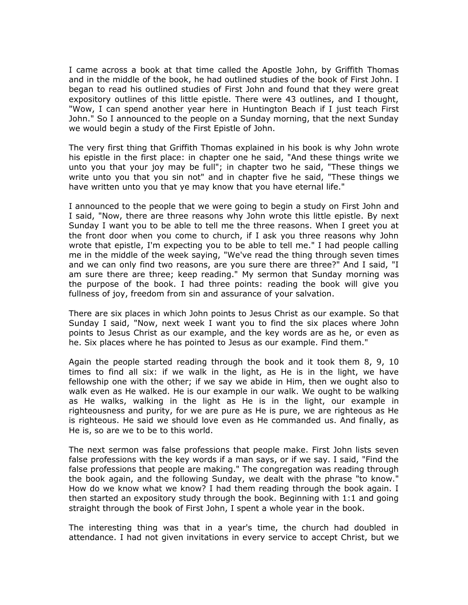I came across a book at that time called the Apostle John, by Griffith Thomas and in the middle of the book, he had outlined studies of the book of First John. I began to read his outlined studies of First John and found that they were great expository outlines of this little epistle. There were 43 outlines, and I thought, "Wow, I can spend another year here in Huntington Beach if I just teach First John." So I announced to the people on a Sunday morning, that the next Sunday we would begin a study of the First Epistle of John.

The very first thing that Griffith Thomas explained in his book is why John wrote his epistle in the first place: in chapter one he said, "And these things write we unto you that your joy may be full"; in chapter two he said, "These things we write unto you that you sin not" and in chapter five he said, "These things we have written unto you that ye may know that you have eternal life."

I announced to the people that we were going to begin a study on First John and I said, "Now, there are three reasons why John wrote this little epistle. By next Sunday I want you to be able to tell me the three reasons. When I greet you at the front door when you come to church, if I ask you three reasons why John wrote that epistle, I'm expecting you to be able to tell me." I had people calling me in the middle of the week saying, "We've read the thing through seven times and we can only find two reasons, are you sure there are three?" And I said, "I am sure there are three; keep reading." My sermon that Sunday morning was the purpose of the book. I had three points: reading the book will give you fullness of joy, freedom from sin and assurance of your salvation.

There are six places in which John points to Jesus Christ as our example. So that Sunday I said, "Now, next week I want you to find the six places where John points to Jesus Christ as our example, and the key words are as he, or even as he. Six places where he has pointed to Jesus as our example. Find them."

Again the people started reading through the book and it took them 8, 9, 10 times to find all six: if we walk in the light, as He is in the light, we have fellowship one with the other; if we say we abide in Him, then we ought also to walk even as He walked. He is our example in our walk. We ought to be walking as He walks, walking in the light as He is in the light, our example in righteousness and purity, for we are pure as He is pure, we are righteous as He is righteous. He said we should love even as He commanded us. And finally, as He is, so are we to be to this world.

The next sermon was false professions that people make. First John lists seven false professions with the key words if a man says, or if we say. I said, "Find the false professions that people are making." The congregation was reading through the book again, and the following Sunday, we dealt with the phrase "to know." How do we know what we know? I had them reading through the book again. I then started an expository study through the book. Beginning with 1:1 and going straight through the book of First John, I spent a whole year in the book.

The interesting thing was that in a year's time, the church had doubled in attendance. I had not given invitations in every service to accept Christ, but we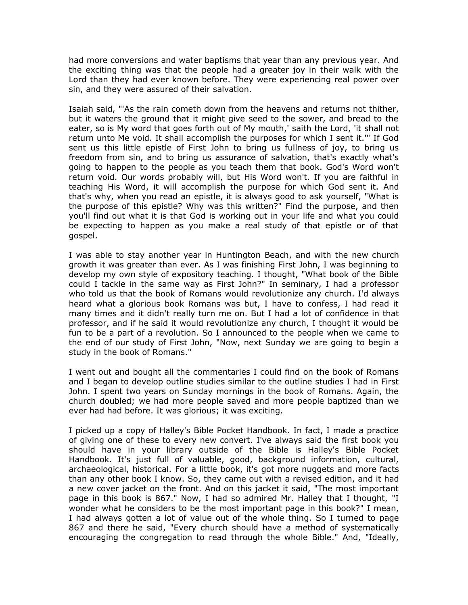had more conversions and water baptisms that year than any previous year. And the exciting thing was that the people had a greater joy in their walk with the Lord than they had ever known before. They were experiencing real power over sin, and they were assured of their salvation.

Isaiah said, "'As the rain cometh down from the heavens and returns not thither, but it waters the ground that it might give seed to the sower, and bread to the eater, so is My word that goes forth out of My mouth,' saith the Lord, 'it shall not return unto Me void. It shall accomplish the purposes for which I sent it.'" If God sent us this little epistle of First John to bring us fullness of joy, to bring us freedom from sin, and to bring us assurance of salvation, that's exactly what's going to happen to the people as you teach them that book. God's Word won't return void. Our words probably will, but His Word won't. If you are faithful in teaching His Word, it will accomplish the purpose for which God sent it. And that's why, when you read an epistle, it is always good to ask yourself, "What is the purpose of this epistle? Why was this written?" Find the purpose, and then you'll find out what it is that God is working out in your life and what you could be expecting to happen as you make a real study of that epistle or of that gospel.

I was able to stay another year in Huntington Beach, and with the new church growth it was greater than ever. As I was finishing First John, I was beginning to develop my own style of expository teaching. I thought, "What book of the Bible could I tackle in the same way as First John?" In seminary, I had a professor who told us that the book of Romans would revolutionize any church. I'd always heard what a glorious book Romans was but, I have to confess, I had read it many times and it didn't really turn me on. But I had a lot of confidence in that professor, and if he said it would revolutionize any church, I thought it would be fun to be a part of a revolution. So I announced to the people when we came to the end of our study of First John, "Now, next Sunday we are going to begin a study in the book of Romans."

I went out and bought all the commentaries I could find on the book of Romans and I began to develop outline studies similar to the outline studies I had in First John. I spent two years on Sunday mornings in the book of Romans. Again, the church doubled; we had more people saved and more people baptized than we ever had had before. It was glorious; it was exciting.

I picked up a copy of Halley's Bible Pocket Handbook. In fact, I made a practice of giving one of these to every new convert. I've always said the first book you should have in your library outside of the Bible is Halley's Bible Pocket Handbook. It's just full of valuable, good, background information, cultural, archaeological, historical. For a little book, it's got more nuggets and more facts than any other book I know. So, they came out with a revised edition, and it had a new cover jacket on the front. And on this jacket it said, "The most important page in this book is 867." Now, I had so admired Mr. Halley that I thought, "I wonder what he considers to be the most important page in this book?" I mean, I had always gotten a lot of value out of the whole thing. So I turned to page 867 and there he said, "Every church should have a method of systematically encouraging the congregation to read through the whole Bible." And, "Ideally,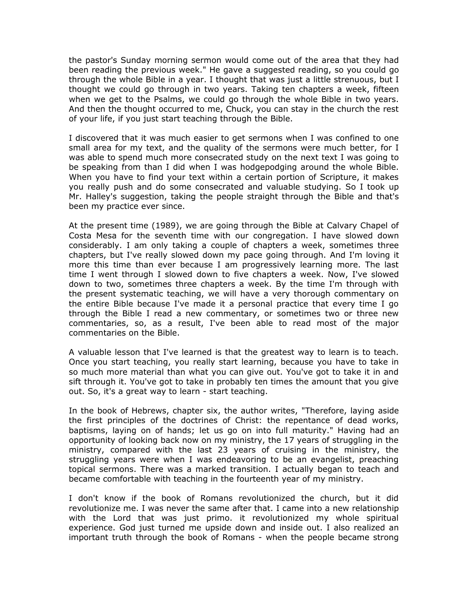the pastor's Sunday morning sermon would come out of the area that they had been reading the previous week." He gave a suggested reading, so you could go through the whole Bible in a year. I thought that was just a little strenuous, but I thought we could go through in two years. Taking ten chapters a week, fifteen when we get to the Psalms, we could go through the whole Bible in two years. And then the thought occurred to me, Chuck, you can stay in the church the rest of your life, if you just start teaching through the Bible.

I discovered that it was much easier to get sermons when I was confined to one small area for my text, and the quality of the sermons were much better, for I was able to spend much more consecrated study on the next text I was going to be speaking from than I did when I was hodgepodging around the whole Bible. When you have to find your text within a certain portion of Scripture, it makes you really push and do some consecrated and valuable studying. So I took up Mr. Halley's suggestion, taking the people straight through the Bible and that's been my practice ever since.

At the present time (1989), we are going through the Bible at Calvary Chapel of Costa Mesa for the seventh time with our congregation. I have slowed down considerably. I am only taking a couple of chapters a week, sometimes three chapters, but I've really slowed down my pace going through. And I'm loving it more this time than ever because I am progressively learning more. The last time I went through I slowed down to five chapters a week. Now, I've slowed down to two, sometimes three chapters a week. By the time I'm through with the present systematic teaching, we will have a very thorough commentary on the entire Bible because I've made it a personal practice that every time I go through the Bible I read a new commentary, or sometimes two or three new commentaries, so, as a result, I've been able to read most of the major commentaries on the Bible.

A valuable lesson that I've learned is that the greatest way to learn is to teach. Once you start teaching, you really start learning, because you have to take in so much more material than what you can give out. You've got to take it in and sift through it. You've got to take in probably ten times the amount that you give out. So, it's a great way to learn - start teaching.

In the book of Hebrews, chapter six, the author writes, "Therefore, laying aside the first principles of the doctrines of Christ: the repentance of dead works, baptisms, laying on of hands; let us go on into full maturity." Having had an opportunity of looking back now on my ministry, the 17 years of struggling in the ministry, compared with the last 23 years of cruising in the ministry, the struggling years were when I was endeavoring to be an evangelist, preaching topical sermons. There was a marked transition. I actually began to teach and became comfortable with teaching in the fourteenth year of my ministry.

I don't know if the book of Romans revolutionized the church, but it did revolutionize me. I was never the same after that. I came into a new relationship with the Lord that was just primo. it revolutionized my whole spiritual experience. God just turned me upside down and inside out. I also realized an important truth through the book of Romans - when the people became strong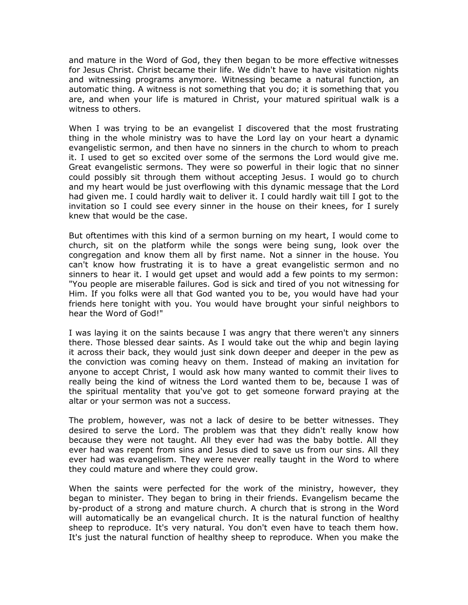and mature in the Word of God, they then began to be more effective witnesses for Jesus Christ. Christ became their life. We didn't have to have visitation nights and witnessing programs anymore. Witnessing became a natural function, an automatic thing. A witness is not something that you do; it is something that you are, and when your life is matured in Christ, your matured spiritual walk is a witness to others.

When I was trying to be an evangelist I discovered that the most frustrating thing in the whole ministry was to have the Lord lay on your heart a dynamic evangelistic sermon, and then have no sinners in the church to whom to preach it. I used to get so excited over some of the sermons the Lord would give me. Great evangelistic sermons. They were so powerful in their logic that no sinner could possibly sit through them without accepting Jesus. I would go to church and my heart would be just overflowing with this dynamic message that the Lord had given me. I could hardly wait to deliver it. I could hardly wait till I got to the invitation so I could see every sinner in the house on their knees, for I surely knew that would be the case.

But oftentimes with this kind of a sermon burning on my heart, I would come to church, sit on the platform while the songs were being sung, look over the congregation and know them all by first name. Not a sinner in the house. You can't know how frustrating it is to have a great evangelistic sermon and no sinners to hear it. I would get upset and would add a few points to my sermon: "You people are miserable failures. God is sick and tired of you not witnessing for Him. If you folks were all that God wanted you to be, you would have had your friends here tonight with you. You would have brought your sinful neighbors to hear the Word of God!"

I was laying it on the saints because I was angry that there weren't any sinners there. Those blessed dear saints. As I would take out the whip and begin laying it across their back, they would just sink down deeper and deeper in the pew as the conviction was coming heavy on them. Instead of making an invitation for anyone to accept Christ, I would ask how many wanted to commit their lives to really being the kind of witness the Lord wanted them to be, because I was of the spiritual mentality that you've got to get someone forward praying at the altar or your sermon was not a success.

The problem, however, was not a lack of desire to be better witnesses. They desired to serve the Lord. The problem was that they didn't really know how because they were not taught. All they ever had was the baby bottle. All they ever had was repent from sins and Jesus died to save us from our sins. All they ever had was evangelism. They were never really taught in the Word to where they could mature and where they could grow.

When the saints were perfected for the work of the ministry, however, they began to minister. They began to bring in their friends. Evangelism became the by-product of a strong and mature church. A church that is strong in the Word will automatically be an evangelical church. It is the natural function of healthy sheep to reproduce. It's very natural. You don't even have to teach them how. It's just the natural function of healthy sheep to reproduce. When you make the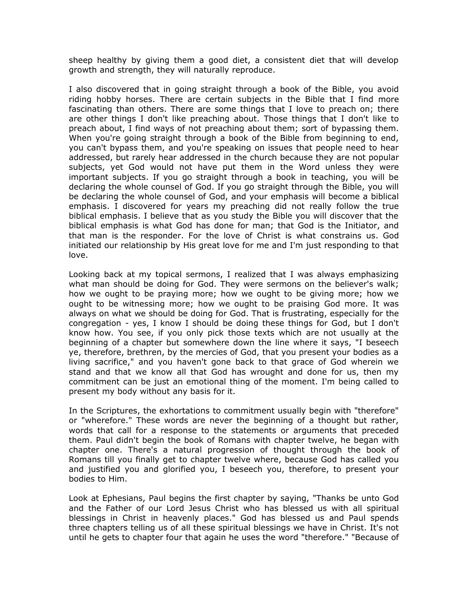sheep healthy by giving them a good diet, a consistent diet that will develop growth and strength, they will naturally reproduce.

I also discovered that in going straight through a book of the Bible, you avoid riding hobby horses. There are certain subjects in the Bible that I find more fascinating than others. There are some things that I love to preach on; there are other things I don't like preaching about. Those things that I don't like to preach about, I find ways of not preaching about them; sort of bypassing them. When you're going straight through a book of the Bible from beginning to end, you can't bypass them, and you're speaking on issues that people need to hear addressed, but rarely hear addressed in the church because they are not popular subjects, yet God would not have put them in the Word unless they were important subjects. If you go straight through a book in teaching, you will be declaring the whole counsel of God. If you go straight through the Bible, you will be declaring the whole counsel of God, and your emphasis will become a biblical emphasis. I discovered for years my preaching did not really follow the true biblical emphasis. I believe that as you study the Bible you will discover that the biblical emphasis is what God has done for man; that God is the Initiator, and that man is the responder. For the love of Christ is what constrains us. God initiated our relationship by His great love for me and I'm just responding to that love.

Looking back at my topical sermons, I realized that I was always emphasizing what man should be doing for God. They were sermons on the believer's walk; how we ought to be praying more; how we ought to be giving more; how we ought to be witnessing more; how we ought to be praising God more. It was always on what we should be doing for God. That is frustrating, especially for the congregation - yes, I know I should be doing these things for God, but I don't know how. You see, if you only pick those texts which are not usually at the beginning of a chapter but somewhere down the line where it says, "I beseech ye, therefore, brethren, by the mercies of God, that you present your bodies as a living sacrifice," and you haven't gone back to that grace of God wherein we stand and that we know all that God has wrought and done for us, then my commitment can be just an emotional thing of the moment. I'm being called to present my body without any basis for it.

In the Scriptures, the exhortations to commitment usually begin with "therefore" or "wherefore." These words are never the beginning of a thought but rather, words that call for a response to the statements or arguments that preceded them. Paul didn't begin the book of Romans with chapter twelve, he began with chapter one. There's a natural progression of thought through the book of Romans till you finally get to chapter twelve where, because God has called you and justified you and glorified you, I beseech you, therefore, to present your bodies to Him.

Look at Ephesians, Paul begins the first chapter by saying, "Thanks be unto God and the Father of our Lord Jesus Christ who has blessed us with all spiritual blessings in Christ in heavenly places." God has blessed us and Paul spends three chapters telling us of all these spiritual blessings we have in Christ. It's not until he gets to chapter four that again he uses the word "therefore." "Because of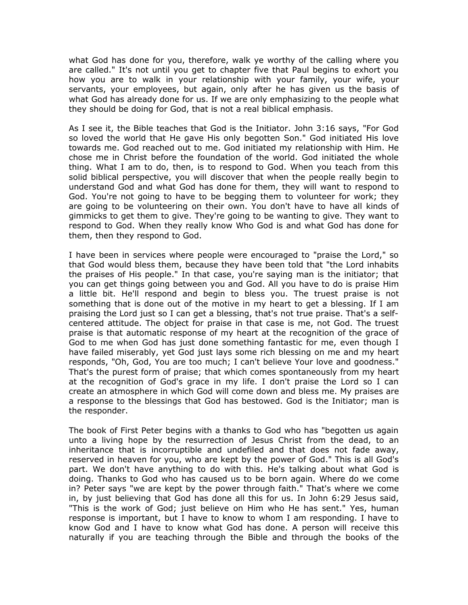what God has done for you, therefore, walk ye worthy of the calling where you are called." It's not until you get to chapter five that Paul begins to exhort you how you are to walk in your relationship with your family, your wife, your servants, your employees, but again, only after he has given us the basis of what God has already done for us. If we are only emphasizing to the people what they should be doing for God, that is not a real biblical emphasis.

As I see it, the Bible teaches that God is the Initiator. John 3:16 says, "For God so loved the world that He gave His only begotten Son." God initiated His love towards me. God reached out to me. God initiated my relationship with Him. He chose me in Christ before the foundation of the world. God initiated the whole thing. What I am to do, then, is to respond to God. When you teach from this solid biblical perspective, you will discover that when the people really begin to understand God and what God has done for them, they will want to respond to God. You're not going to have to be begging them to volunteer for work; they are going to be volunteering on their own. You don't have to have all kinds of gimmicks to get them to give. They're going to be wanting to give. They want to respond to God. When they really know Who God is and what God has done for them, then they respond to God.

I have been in services where people were encouraged to "praise the Lord," so that God would bless them, because they have been told that "the Lord inhabits the praises of His people." In that case, you're saying man is the initiator; that you can get things going between you and God. All you have to do is praise Him a little bit. He'll respond and begin to bless you. The truest praise is not something that is done out of the motive in my heart to get a blessing. If I am praising the Lord just so I can get a blessing, that's not true praise. That's a selfcentered attitude. The object for praise in that case is me, not God. The truest praise is that automatic response of my heart at the recognition of the grace of God to me when God has just done something fantastic for me, even though I have failed miserably, yet God just lays some rich blessing on me and my heart responds, "Oh, God, You are too much; I can't believe Your love and goodness." That's the purest form of praise; that which comes spontaneously from my heart at the recognition of God's grace in my life. I don't praise the Lord so I can create an atmosphere in which God will come down and bless me. My praises are a response to the blessings that God has bestowed. God is the Initiator; man is the responder.

The book of First Peter begins with a thanks to God who has "begotten us again unto a living hope by the resurrection of Jesus Christ from the dead, to an inheritance that is incorruptible and undefiled and that does not fade away, reserved in heaven for you, who are kept by the power of God." This is all God's part. We don't have anything to do with this. He's talking about what God is doing. Thanks to God who has caused us to be born again. Where do we come in? Peter says "we are kept by the power through faith." That's where we come in, by just believing that God has done all this for us. In John 6:29 Jesus said, "This is the work of God; just believe on Him who He has sent." Yes, human response is important, but I have to know to whom I am responding. I have to know God and I have to know what God has done. A person will receive this naturally if you are teaching through the Bible and through the books of the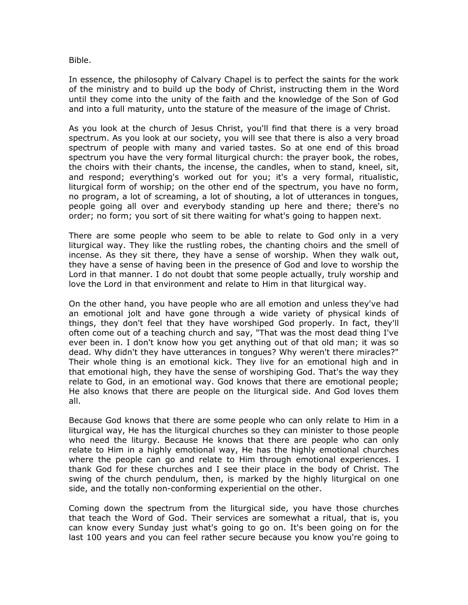Bible.

In essence, the philosophy of Calvary Chapel is to perfect the saints for the work of the ministry and to build up the body of Christ, instructing them in the Word until they come into the unity of the faith and the knowledge of the Son of God and into a full maturity, unto the stature of the measure of the image of Christ.

As you look at the church of Jesus Christ, you'll find that there is a very broad spectrum. As you look at our society, you will see that there is also a very broad spectrum of people with many and varied tastes. So at one end of this broad spectrum you have the very formal liturgical church: the prayer book, the robes, the choirs with their chants, the incense, the candles, when to stand, kneel, sit, and respond; everything's worked out for you; it's a very formal, ritualistic, liturgical form of worship; on the other end of the spectrum, you have no form, no program, a lot of screaming, a lot of shouting, a lot of utterances in tongues, people going all over and everybody standing up here and there; there's no order; no form; you sort of sit there waiting for what's going to happen next.

There are some people who seem to be able to relate to God only in a very liturgical way. They like the rustling robes, the chanting choirs and the smell of incense. As they sit there, they have a sense of worship. When they walk out, they have a sense of having been in the presence of God and love to worship the Lord in that manner. I do not doubt that some people actually, truly worship and love the Lord in that environment and relate to Him in that liturgical way.

On the other hand, you have people who are all emotion and unless they've had an emotional jolt and have gone through a wide variety of physical kinds of things, they don't feel that they have worshiped God properly. In fact, they'll often come out of a teaching church and say, "That was the most dead thing I've ever been in. I don't know how you get anything out of that old man; it was so dead. Why didn't they have utterances in tongues? Why weren't there miracles?" Their whole thing is an emotional kick. They live for an emotional high and in that emotional high, they have the sense of worshiping God. That's the way they relate to God, in an emotional way. God knows that there are emotional people; He also knows that there are people on the liturgical side. And God loves them all.

Because God knows that there are some people who can only relate to Him in a liturgical way, He has the liturgical churches so they can minister to those people who need the liturgy. Because He knows that there are people who can only relate to Him in a highly emotional way, He has the highly emotional churches where the people can go and relate to Him through emotional experiences. I thank God for these churches and I see their place in the body of Christ. The swing of the church pendulum, then, is marked by the highly liturgical on one side, and the totally non-conforming experiential on the other.

Coming down the spectrum from the liturgical side, you have those churches that teach the Word of God. Their services are somewhat a ritual, that is, you can know every Sunday just what's going to go on. It's been going on for the last 100 years and you can feel rather secure because you know you're going to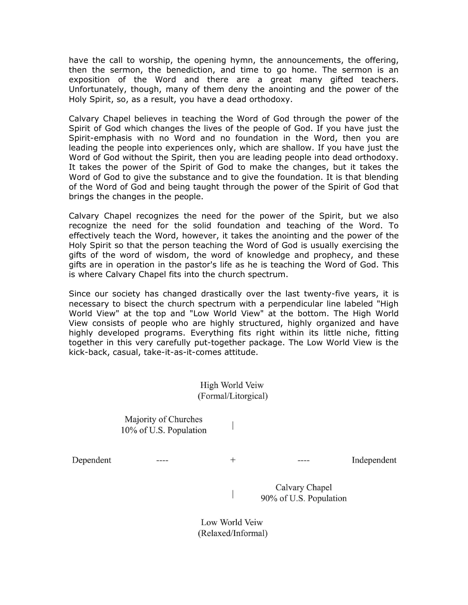have the call to worship, the opening hymn, the announcements, the offering, then the sermon, the benediction, and time to go home. The sermon is an exposition of the Word and there are a great many gifted teachers. Unfortunately, though, many of them deny the anointing and the power of the Holy Spirit, so, as a result, you have a dead orthodoxy.

Calvary Chapel believes in teaching the Word of God through the power of the Spirit of God which changes the lives of the people of God. If you have just the Spirit-emphasis with no Word and no foundation in the Word, then you are leading the people into experiences only, which are shallow. If you have just the Word of God without the Spirit, then you are leading people into dead orthodoxy. It takes the power of the Spirit of God to make the changes, but it takes the Word of God to give the substance and to give the foundation. It is that blending of the Word of God and being taught through the power of the Spirit of God that brings the changes in the people.

Calvary Chapel recognizes the need for the power of the Spirit, but we also recognize the need for the solid foundation and teaching of the Word. To effectively teach the Word, however, it takes the anointing and the power of the Holy Spirit so that the person teaching the Word of God is usually exercising the gifts of the word of wisdom, the word of knowledge and prophecy, and these gifts are in operation in the pastor's life as he is teaching the Word of God. This is where Calvary Chapel fits into the church spectrum.

Since our society has changed drastically over the last twenty-five years, it is necessary to bisect the church spectrum with a perpendicular line labeled "High World View" at the top and "Low World View" at the bottom. The High World View consists of people who are highly structured, highly organized and have highly developed programs. Everything fits right within its little niche, fitting together in this very carefully put-together package. The Low World View is the kick-back, casual, take-it-as-it-comes attitude.

> High World Veiw (Formal/Litorgical)

> > $\overline{\phantom{a}}$

 $+$ 

 $\overline{a}$ 

Majority of Churches 10% of U.S. Population

Dependent

 $- - - -$ 

Independent

Calvary Chapel 90% of U.S. Population

Low World Veiw (Relaxed/Informal)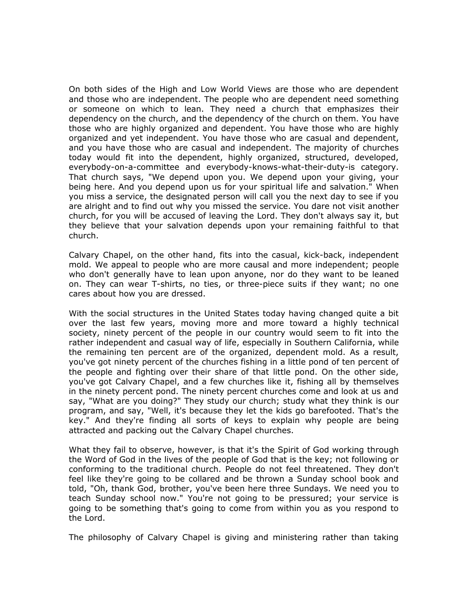On both sides of the High and Low World Views are those who are dependent and those who are independent. The people who are dependent need something or someone on which to lean. They need a church that emphasizes their dependency on the church, and the dependency of the church on them. You have those who are highly organized and dependent. You have those who are highly organized and yet independent. You have those who are casual and dependent, and you have those who are casual and independent. The majority of churches today would fit into the dependent, highly organized, structured, developed, everybody-on-a-committee and everybody-knows-what-their-duty-is category. That church says, "We depend upon you. We depend upon your giving, your being here. And you depend upon us for your spiritual life and salvation." When you miss a service, the designated person will call you the next day to see if you are alright and to find out why you missed the service. You dare not visit another church, for you will be accused of leaving the Lord. They don't always say it, but they believe that your salvation depends upon your remaining faithful to that church.

Calvary Chapel, on the other hand, fits into the casual, kick-back, independent mold. We appeal to people who are more causal and more independent; people who don't generally have to lean upon anyone, nor do they want to be leaned on. They can wear T-shirts, no ties, or three-piece suits if they want; no one cares about how you are dressed.

With the social structures in the United States today having changed quite a bit over the last few years, moving more and more toward a highly technical society, ninety percent of the people in our country would seem to fit into the rather independent and casual way of life, especially in Southern California, while the remaining ten percent are of the organized, dependent mold. As a result, you've got ninety percent of the churches fishing in a little pond of ten percent of the people and fighting over their share of that little pond. On the other side, you've got Calvary Chapel, and a few churches like it, fishing all by themselves in the ninety percent pond. The ninety percent churches come and look at us and say, "What are you doing?" They study our church; study what they think is our program, and say, "Well, it's because they let the kids go barefooted. That's the key." And they're finding all sorts of keys to explain why people are being attracted and packing out the Calvary Chapel churches.

What they fail to observe, however, is that it's the Spirit of God working through the Word of God in the lives of the people of God that is the key; not following or conforming to the traditional church. People do not feel threatened. They don't feel like they're going to be collared and be thrown a Sunday school book and told, "Oh, thank God, brother, you've been here three Sundays. We need you to teach Sunday school now." You're not going to be pressured; your service is going to be something that's going to come from within you as you respond to the Lord.

The philosophy of Calvary Chapel is giving and ministering rather than taking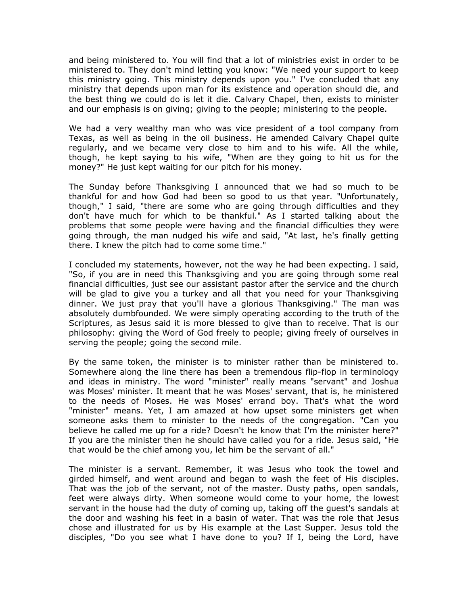and being ministered to. You will find that a lot of ministries exist in order to be ministered to. They don't mind letting you know: "We need your support to keep this ministry going. This ministry depends upon you." I've concluded that any ministry that depends upon man for its existence and operation should die, and the best thing we could do is let it die. Calvary Chapel, then, exists to minister and our emphasis is on giving; giving to the people; ministering to the people.

We had a very wealthy man who was vice president of a tool company from Texas, as well as being in the oil business. He amended Calvary Chapel quite regularly, and we became very close to him and to his wife. All the while, though, he kept saying to his wife, "When are they going to hit us for the money?" He just kept waiting for our pitch for his money.

The Sunday before Thanksgiving I announced that we had so much to be thankful for and how God had been so good to us that year. "Unfortunately, though," I said, "there are some who are going through difficulties and they don't have much for which to be thankful." As I started talking about the problems that some people were having and the financial difficulties they were going through, the man nudged his wife and said, "At last, he's finally getting there. I knew the pitch had to come some time."

I concluded my statements, however, not the way he had been expecting. I said, "So, if you are in need this Thanksgiving and you are going through some real financial difficulties, just see our assistant pastor after the service and the church will be glad to give you a turkey and all that you need for your Thanksgiving dinner. We just pray that you'll have a glorious Thanksgiving." The man was absolutely dumbfounded. We were simply operating according to the truth of the Scriptures, as Jesus said it is more blessed to give than to receive. That is our philosophy: giving the Word of God freely to people; giving freely of ourselves in serving the people; going the second mile.

By the same token, the minister is to minister rather than be ministered to. Somewhere along the line there has been a tremendous flip-flop in terminology and ideas in ministry. The word "minister" really means "servant" and Joshua was Moses' minister. It meant that he was Moses' servant, that is, he ministered to the needs of Moses. He was Moses' errand boy. That's what the word "minister" means. Yet, I am amazed at how upset some ministers get when someone asks them to minister to the needs of the congregation. "Can you believe he called me up for a ride? Doesn't he know that I'm the minister here?" If you are the minister then he should have called you for a ride. Jesus said, "He that would be the chief among you, let him be the servant of all."

The minister is a servant. Remember, it was Jesus who took the towel and girded himself, and went around and began to wash the feet of His disciples. That was the job of the servant, not of the master. Dusty paths, open sandals, feet were always dirty. When someone would come to your home, the lowest servant in the house had the duty of coming up, taking off the guest's sandals at the door and washing his feet in a basin of water. That was the role that Jesus chose and illustrated for us by His example at the Last Supper. Jesus told the disciples, "Do you see what I have done to you? If I, being the Lord, have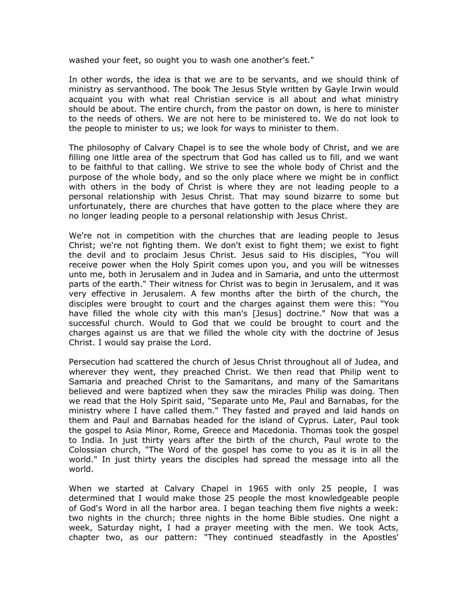washed your feet, so ought you to wash one another's feet."

In other words, the idea is that we are to be servants, and we should think of ministry as servanthood. The book The Jesus Style written by Gayle Irwin would acquaint you with what real Christian service is all about and what ministry should be about. The entire church, from the pastor on down, is here to minister to the needs of others. We are not here to be ministered to. We do not look to the people to minister to us; we look for ways to minister to them.

The philosophy of Calvary Chapel is to see the whole body of Christ, and we are filling one little area of the spectrum that God has called us to fill, and we want to be faithful to that calling. We strive to see the whole body of Christ and the purpose of the whole body, and so the only place where we might be in conflict with others in the body of Christ is where they are not leading people to a personal relationship with Jesus Christ. That may sound bizarre to some but unfortunately, there are churches that have gotten to the place where they are no longer leading people to a personal relationship with Jesus Christ.

We're not in competition with the churches that are leading people to Jesus Christ; we're not fighting them. We don't exist to fight them; we exist to fight the devil and to proclaim Jesus Christ. Jesus said to His disciples, "You will receive power when the Holy Spirit comes upon you, and you will be witnesses unto me, both in Jerusalem and in Judea and in Samaria, and unto the uttermost parts of the earth." Their witness for Christ was to begin in Jerusalem, and it was very effective in Jerusalem. A few months after the birth of the church, the disciples were brought to court and the charges against them were this: "You have filled the whole city with this man's [Jesus] doctrine." Now that was a successful church. Would to God that we could be brought to court and the charges against us are that we filled the whole city with the doctrine of Jesus Christ. I would say praise the Lord.

Persecution had scattered the church of Jesus Christ throughout all of Judea, and wherever they went, they preached Christ. We then read that Philip went to Samaria and preached Christ to the Samaritans, and many of the Samaritans believed and were baptized when they saw the miracles Philip was doing. Then we read that the Holy Spirit said, "Separate unto Me, Paul and Barnabas, for the ministry where I have called them." They fasted and prayed and laid hands on them and Paul and Barnabas headed for the island of Cyprus. Later, Paul took the gospel to Asia Minor, Rome, Greece and Macedonia. Thomas took the gospel to India. In just thirty years after the birth of the church, Paul wrote to the Colossian church, "The Word of the gospel has come to you as it is in all the world." In just thirty years the disciples had spread the message into all the world.

When we started at Calvary Chapel in 1965 with only 25 people, I was determined that I would make those 25 people the most knowledgeable people of God's Word in all the harbor area. I began teaching them five nights a week: two nights in the church; three nights in the home Bible studies. One night a week, Saturday night, I had a prayer meeting with the men. We took Acts, chapter two, as our pattern: "They continued steadfastly in the Apostles'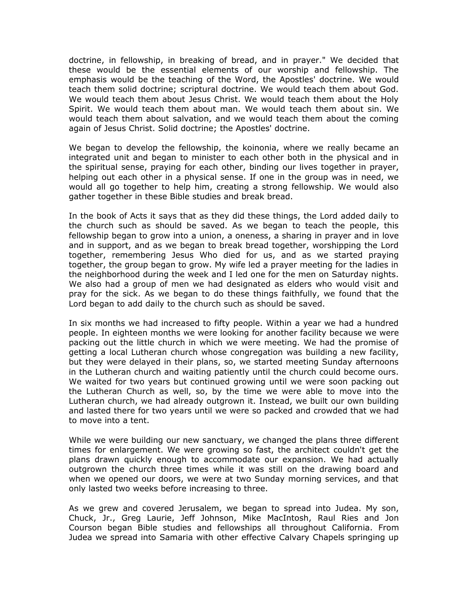doctrine, in fellowship, in breaking of bread, and in prayer." We decided that these would be the essential elements of our worship and fellowship. The emphasis would be the teaching of the Word, the Apostles' doctrine. We would teach them solid doctrine; scriptural doctrine. We would teach them about God. We would teach them about Jesus Christ. We would teach them about the Holy Spirit. We would teach them about man. We would teach them about sin. We would teach them about salvation, and we would teach them about the coming again of Jesus Christ. Solid doctrine; the Apostles' doctrine.

We began to develop the fellowship, the koinonia, where we really became an integrated unit and began to minister to each other both in the physical and in the spiritual sense, praying for each other, binding our lives together in prayer, helping out each other in a physical sense. If one in the group was in need, we would all go together to help him, creating a strong fellowship. We would also gather together in these Bible studies and break bread.

In the book of Acts it says that as they did these things, the Lord added daily to the church such as should be saved. As we began to teach the people, this fellowship began to grow into a union, a oneness, a sharing in prayer and in love and in support, and as we began to break bread together, worshipping the Lord together, remembering Jesus Who died for us, and as we started praying together, the group began to grow. My wife led a prayer meeting for the ladies in the neighborhood during the week and I led one for the men on Saturday nights. We also had a group of men we had designated as elders who would visit and pray for the sick. As we began to do these things faithfully, we found that the Lord began to add daily to the church such as should be saved.

In six months we had increased to fifty people. Within a year we had a hundred people. In eighteen months we were looking for another facility because we were packing out the little church in which we were meeting. We had the promise of getting a local Lutheran church whose congregation was building a new facility, but they were delayed in their plans, so, we started meeting Sunday afternoons in the Lutheran church and waiting patiently until the church could become ours. We waited for two years but continued growing until we were soon packing out the Lutheran Church as well, so, by the time we were able to move into the Lutheran church, we had already outgrown it. Instead, we built our own building and lasted there for two years until we were so packed and crowded that we had to move into a tent.

While we were building our new sanctuary, we changed the plans three different times for enlargement. We were growing so fast, the architect couldn't get the plans drawn quickly enough to accommodate our expansion. We had actually outgrown the church three times while it was still on the drawing board and when we opened our doors, we were at two Sunday morning services, and that only lasted two weeks before increasing to three.

As we grew and covered Jerusalem, we began to spread into Judea. My son, Chuck, Jr., Greg Laurie, Jeff Johnson, Mike MacIntosh, Raul Ries and Jon Courson began Bible studies and fellowships all throughout California. From Judea we spread into Samaria with other effective Calvary Chapels springing up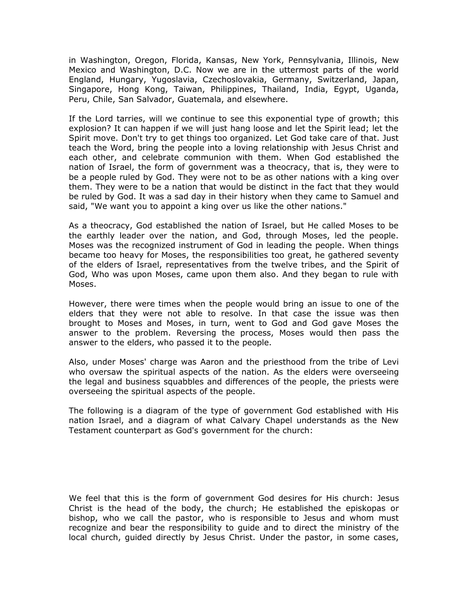in Washington, Oregon, Florida, Kansas, New York, Pennsylvania, Illinois, New Mexico and Washington, D.C. Now we are in the uttermost parts of the world England, Hungary, Yugoslavia, Czechoslovakia, Germany, Switzerland, Japan, Singapore, Hong Kong, Taiwan, Philippines, Thailand, India, Egypt, Uganda, Peru, Chile, San Salvador, Guatemala, and elsewhere.

If the Lord tarries, will we continue to see this exponential type of growth; this explosion? It can happen if we will just hang loose and let the Spirit lead; let the Spirit move. Don't try to get things too organized. Let God take care of that. Just teach the Word, bring the people into a loving relationship with Jesus Christ and each other, and celebrate communion with them. When God established the nation of Israel, the form of government was a theocracy, that is, they were to be a people ruled by God. They were not to be as other nations with a king over them. They were to be a nation that would be distinct in the fact that they would be ruled by God. It was a sad day in their history when they came to Samuel and said, "We want you to appoint a king over us like the other nations."

As a theocracy, God established the nation of Israel, but He called Moses to be the earthly leader over the nation, and God, through Moses, led the people. Moses was the recognized instrument of God in leading the people. When things became too heavy for Moses, the responsibilities too great, he gathered seventy of the elders of Israel, representatives from the twelve tribes, and the Spirit of God, Who was upon Moses, came upon them also. And they began to rule with Moses.

However, there were times when the people would bring an issue to one of the elders that they were not able to resolve. In that case the issue was then brought to Moses and Moses, in turn, went to God and God gave Moses the answer to the problem. Reversing the process, Moses would then pass the answer to the elders, who passed it to the people.

Also, under Moses' charge was Aaron and the priesthood from the tribe of Levi who oversaw the spiritual aspects of the nation. As the elders were overseeing the legal and business squabbles and differences of the people, the priests were overseeing the spiritual aspects of the people.

The following is a diagram of the type of government God established with His nation Israel, and a diagram of what Calvary Chapel understands as the New Testament counterpart as God's government for the church:

We feel that this is the form of government God desires for His church: Jesus Christ is the head of the body, the church; He established the episkopas or bishop, who we call the pastor, who is responsible to Jesus and whom must recognize and bear the responsibility to guide and to direct the ministry of the local church, guided directly by Jesus Christ. Under the pastor, in some cases,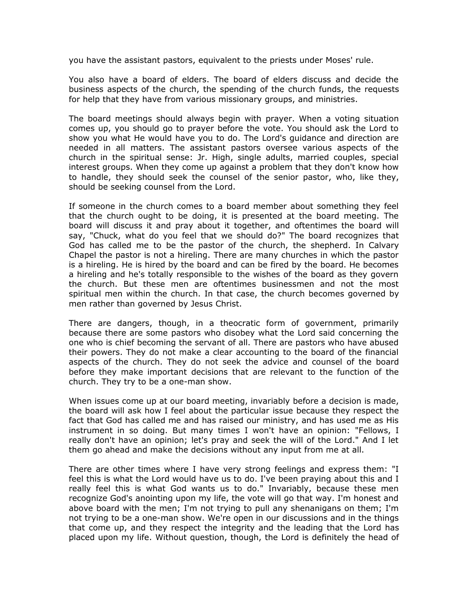you have the assistant pastors, equivalent to the priests under Moses' rule.

You also have a board of elders. The board of elders discuss and decide the business aspects of the church, the spending of the church funds, the requests for help that they have from various missionary groups, and ministries.

The board meetings should always begin with prayer. When a voting situation comes up, you should go to prayer before the vote. You should ask the Lord to show you what He would have you to do. The Lord's guidance and direction are needed in all matters. The assistant pastors oversee various aspects of the church in the spiritual sense: Jr. High, single adults, married couples, special interest groups. When they come up against a problem that they don't know how to handle, they should seek the counsel of the senior pastor, who, like they, should be seeking counsel from the Lord.

If someone in the church comes to a board member about something they feel that the church ought to be doing, it is presented at the board meeting. The board will discuss it and pray about it together, and oftentimes the board will say, "Chuck, what do you feel that we should do?" The board recognizes that God has called me to be the pastor of the church, the shepherd. In Calvary Chapel the pastor is not a hireling. There are many churches in which the pastor is a hireling. He is hired by the board and can be fired by the board. He becomes a hireling and he's totally responsible to the wishes of the board as they govern the church. But these men are oftentimes businessmen and not the most spiritual men within the church. In that case, the church becomes governed by men rather than governed by Jesus Christ.

There are dangers, though, in a theocratic form of government, primarily because there are some pastors who disobey what the Lord said concerning the one who is chief becoming the servant of all. There are pastors who have abused their powers. They do not make a clear accounting to the board of the financial aspects of the church. They do not seek the advice and counsel of the board before they make important decisions that are relevant to the function of the church. They try to be a one-man show.

When issues come up at our board meeting, invariably before a decision is made, the board will ask how I feel about the particular issue because they respect the fact that God has called me and has raised our ministry, and has used me as His instrument in so doing. But many times I won't have an opinion: "Fellows, I really don't have an opinion; let's pray and seek the will of the Lord." And I let them go ahead and make the decisions without any input from me at all.

There are other times where I have very strong feelings and express them: "I feel this is what the Lord would have us to do. I've been praying about this and I really feel this is what God wants us to do." Invariably, because these men recognize God's anointing upon my life, the vote will go that way. I'm honest and above board with the men; I'm not trying to pull any shenanigans on them; I'm not trying to be a one-man show. We're open in our discussions and in the things that come up, and they respect the integrity and the leading that the Lord has placed upon my life. Without question, though, the Lord is definitely the head of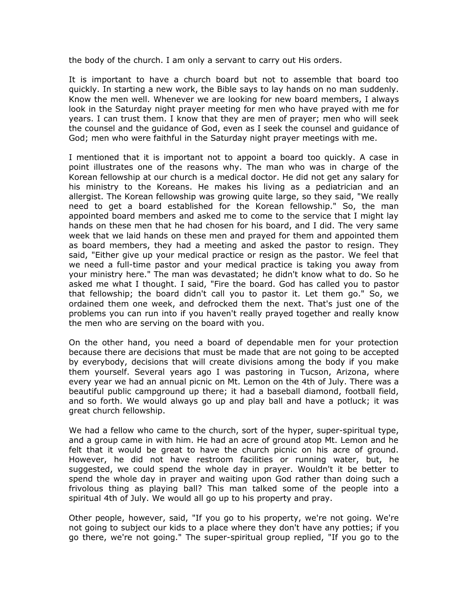the body of the church. I am only a servant to carry out His orders.

It is important to have a church board but not to assemble that board too quickly. In starting a new work, the Bible says to lay hands on no man suddenly. Know the men well. Whenever we are looking for new board members, I always look in the Saturday night prayer meeting for men who have prayed with me for years. I can trust them. I know that they are men of prayer; men who will seek the counsel and the guidance of God, even as I seek the counsel and guidance of God; men who were faithful in the Saturday night prayer meetings with me.

I mentioned that it is important not to appoint a board too quickly. A case in point illustrates one of the reasons why. The man who was in charge of the Korean fellowship at our church is a medical doctor. He did not get any salary for his ministry to the Koreans. He makes his living as a pediatrician and an allergist. The Korean fellowship was growing quite large, so they said, "We really need to get a board established for the Korean fellowship." So, the man appointed board members and asked me to come to the service that I might lay hands on these men that he had chosen for his board, and I did. The very same week that we laid hands on these men and prayed for them and appointed them as board members, they had a meeting and asked the pastor to resign. They said, "Either give up your medical practice or resign as the pastor. We feel that we need a full-time pastor and your medical practice is taking you away from your ministry here." The man was devastated; he didn't know what to do. So he asked me what I thought. I said, "Fire the board. God has called you to pastor that fellowship; the board didn't call you to pastor it. Let them go." So, we ordained them one week, and defrocked them the next. That's just one of the problems you can run into if you haven't really prayed together and really know the men who are serving on the board with you.

On the other hand, you need a board of dependable men for your protection because there are decisions that must be made that are not going to be accepted by everybody, decisions that will create divisions among the body if you make them yourself. Several years ago I was pastoring in Tucson, Arizona, where every year we had an annual picnic on Mt. Lemon on the 4th of July. There was a beautiful public campground up there; it had a baseball diamond, football field, and so forth. We would always go up and play ball and have a potluck; it was great church fellowship.

We had a fellow who came to the church, sort of the hyper, super-spiritual type, and a group came in with him. He had an acre of ground atop Mt. Lemon and he felt that it would be great to have the church picnic on his acre of ground. However, he did not have restroom facilities or running water, but, he suggested, we could spend the whole day in prayer. Wouldn't it be better to spend the whole day in prayer and waiting upon God rather than doing such a frivolous thing as playing ball? This man talked some of the people into a spiritual 4th of July. We would all go up to his property and pray.

Other people, however, said, "If you go to his property, we're not going. We're not going to subject our kids to a place where they don't have any potties; if you go there, we're not going." The super-spiritual group replied, "If you go to the